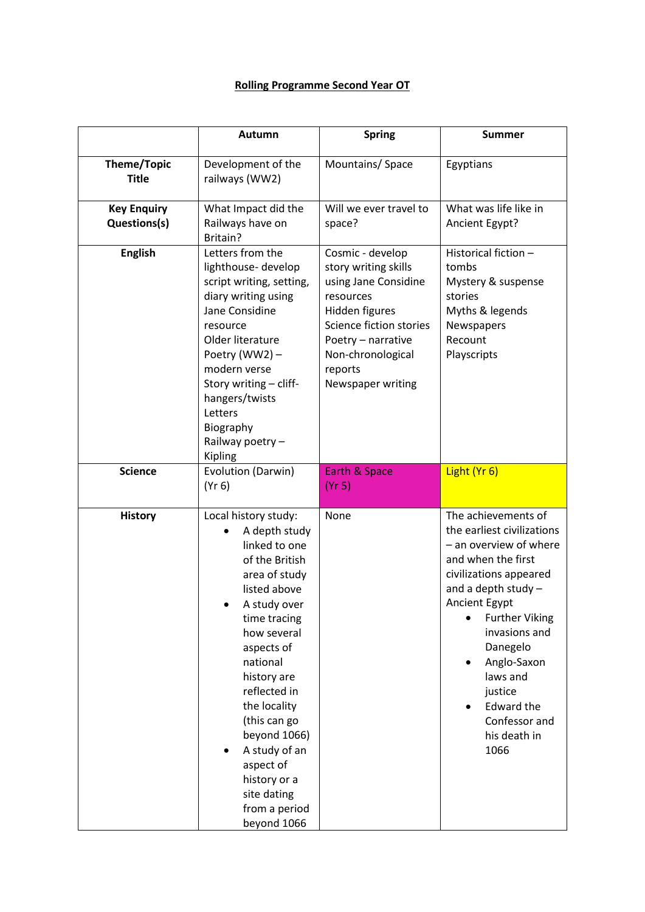## **Rolling Programme Second Year OT**

|                                    | Autumn                                                                                                                                                                                                                                                                                                                                                         | <b>Spring</b>                                                                                                                                                                                         | <b>Summer</b>                                                                                                                                                                                                                                                                                                                   |
|------------------------------------|----------------------------------------------------------------------------------------------------------------------------------------------------------------------------------------------------------------------------------------------------------------------------------------------------------------------------------------------------------------|-------------------------------------------------------------------------------------------------------------------------------------------------------------------------------------------------------|---------------------------------------------------------------------------------------------------------------------------------------------------------------------------------------------------------------------------------------------------------------------------------------------------------------------------------|
| <b>Theme/Topic</b><br><b>Title</b> | Development of the<br>railways (WW2)                                                                                                                                                                                                                                                                                                                           | Mountains/ Space                                                                                                                                                                                      | Egyptians                                                                                                                                                                                                                                                                                                                       |
| <b>Key Enquiry</b><br>Questions(s) | What Impact did the<br>Railways have on<br>Britain?                                                                                                                                                                                                                                                                                                            | Will we ever travel to<br>space?                                                                                                                                                                      | What was life like in<br>Ancient Egypt?                                                                                                                                                                                                                                                                                         |
| <b>English</b>                     | Letters from the<br>lighthouse-develop<br>script writing, setting,<br>diary writing using<br>Jane Considine<br>resource<br>Older literature<br>Poetry (WW2) -<br>modern verse<br>Story writing - cliff-<br>hangers/twists<br>Letters<br>Biography<br>Railway poetry -<br>Kipling                                                                               | Cosmic - develop<br>story writing skills<br>using Jane Considine<br>resources<br>Hidden figures<br>Science fiction stories<br>Poetry - narrative<br>Non-chronological<br>reports<br>Newspaper writing | Historical fiction -<br>tombs<br>Mystery & suspense<br>stories<br>Myths & legends<br>Newspapers<br>Recount<br>Playscripts                                                                                                                                                                                                       |
| <b>Science</b>                     | Evolution (Darwin)<br>(Yr 6)                                                                                                                                                                                                                                                                                                                                   | Earth & Space<br>(Yr 5)                                                                                                                                                                               | Light (Yr 6)                                                                                                                                                                                                                                                                                                                    |
| <b>History</b>                     | Local history study:<br>A depth study<br>linked to one<br>of the British<br>area of study<br>listed above<br>A study over<br>time tracing<br>how several<br>aspects of<br>national<br>history are<br>reflected in<br>the locality<br>(this can go<br>beyond 1066)<br>A study of an<br>aspect of<br>history or a<br>site dating<br>from a period<br>beyond 1066 | None                                                                                                                                                                                                  | The achievements of<br>the earliest civilizations<br>- an overview of where<br>and when the first<br>civilizations appeared<br>and a depth study $-$<br>Ancient Egypt<br><b>Further Viking</b><br>invasions and<br>Danegelo<br>Anglo-Saxon<br>laws and<br>justice<br><b>Edward the</b><br>Confessor and<br>his death in<br>1066 |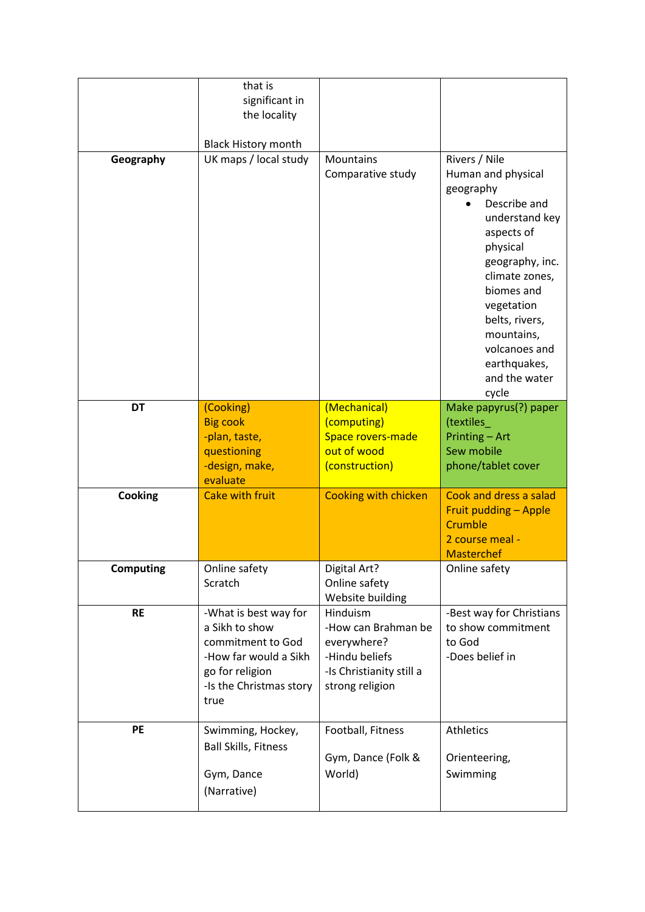|                  | that is<br>significant in                                                                                                                   |                                                                                                                 |                                                                                                                                                                                                                                                                          |
|------------------|---------------------------------------------------------------------------------------------------------------------------------------------|-----------------------------------------------------------------------------------------------------------------|--------------------------------------------------------------------------------------------------------------------------------------------------------------------------------------------------------------------------------------------------------------------------|
|                  | the locality                                                                                                                                |                                                                                                                 |                                                                                                                                                                                                                                                                          |
|                  | <b>Black History month</b>                                                                                                                  |                                                                                                                 |                                                                                                                                                                                                                                                                          |
| Geography        | UK maps / local study                                                                                                                       | Mountains<br>Comparative study                                                                                  | Rivers / Nile<br>Human and physical<br>geography<br>Describe and<br>understand key<br>aspects of<br>physical<br>geography, inc.<br>climate zones,<br>biomes and<br>vegetation<br>belts, rivers,<br>mountains,<br>volcanoes and<br>earthquakes,<br>and the water<br>cycle |
| <b>DT</b>        | (Cooking)                                                                                                                                   | (Mechanical)                                                                                                    | Make papyrus(?) paper                                                                                                                                                                                                                                                    |
|                  | <b>Big cook</b><br>-plan, taste,<br>questioning<br>-design, make,<br>evaluate                                                               | (computing)<br>Space rovers-made<br>out of wood<br>(construction)                                               | (textiles<br>Printing - Art<br>Sew mobile<br>phone/tablet cover                                                                                                                                                                                                          |
| Cooking          | <b>Cake with fruit</b>                                                                                                                      | <b>Cooking with chicken</b>                                                                                     | Cook and dress a salad<br>Fruit pudding - Apple<br>Crumble<br>2 course meal -<br><b>Masterchef</b>                                                                                                                                                                       |
| <b>Computing</b> | Online safety<br>Scratch                                                                                                                    | Digital Art?<br>Online safety<br>Website building                                                               | Online safety                                                                                                                                                                                                                                                            |
| <b>RE</b>        | -What is best way for<br>a Sikh to show<br>commitment to God<br>-How far would a Sikh<br>go for religion<br>-Is the Christmas story<br>true | Hinduism<br>-How can Brahman be<br>everywhere?<br>-Hindu beliefs<br>-Is Christianity still a<br>strong religion | -Best way for Christians<br>to show commitment<br>to God<br>-Does belief in                                                                                                                                                                                              |
| <b>PE</b>        | Swimming, Hockey,<br><b>Ball Skills, Fitness</b><br>Gym, Dance<br>(Narrative)                                                               | Football, Fitness<br>Gym, Dance (Folk &<br>World)                                                               | Athletics<br>Orienteering,<br>Swimming                                                                                                                                                                                                                                   |